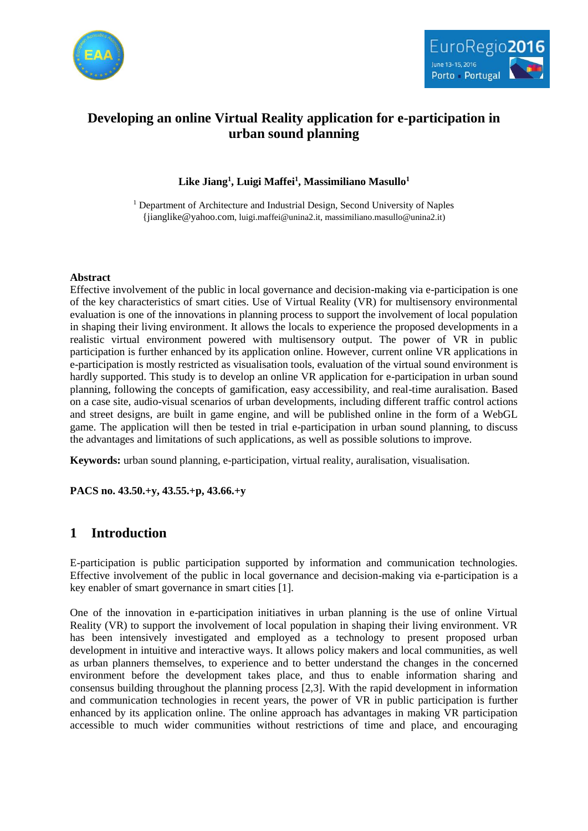



# **Developing an online Virtual Reality application for e-participation in urban sound planning**

**Like Jiang<sup>1</sup> , Luigi Maffei<sup>1</sup> , Massimiliano Masullo<sup>1</sup>**

<sup>1</sup> Department of Architecture and Industrial Design, Second University of Naples [{jianglike@yahoo.com](mailto:%7Bjianglike@yahoo.com), luigi.maffei@unina2.it, massimiliano.masullo@unina2.it)

#### **Abstract**

Effective involvement of the public in local governance and decision-making via e-participation is one of the key characteristics of smart cities. Use of Virtual Reality (VR) for multisensory environmental evaluation is one of the innovations in planning process to support the involvement of local population in shaping their living environment. It allows the locals to experience the proposed developments in a realistic virtual environment powered with multisensory output. The power of VR in public participation is further enhanced by its application online. However, current online VR applications in e-participation is mostly restricted as visualisation tools, evaluation of the virtual sound environment is hardly supported. This study is to develop an online VR application for e-participation in urban sound planning, following the concepts of gamification, easy accessibility, and real-time auralisation. Based on a case site, audio-visual scenarios of urban developments, including different traffic control actions and street designs, are built in game engine, and will be published online in the form of a WebGL game. The application will then be tested in trial e-participation in urban sound planning, to discuss the advantages and limitations of such applications, as well as possible solutions to improve.

**Keywords:** urban sound planning, e-participation, virtual reality, auralisation, visualisation.

**PACS no. 43.50.+y, 43.55.+p, 43.66.+y**

## **1 Introduction**

E-participation is public participation supported by information and communication technologies. Effective involvement of the public in local governance and decision-making via e-participation is a key enabler of smart governance in smart cities [1].

One of the innovation in e-participation initiatives in urban planning is the use of online Virtual Reality (VR) to support the involvement of local population in shaping their living environment. VR has been intensively investigated and employed as a technology to present proposed urban development in intuitive and interactive ways. It allows policy makers and local communities, as well as urban planners themselves, to experience and to better understand the changes in the concerned environment before the development takes place, and thus to enable information sharing and consensus building throughout the planning process [2,3]. With the rapid development in information and communication technologies in recent years, the power of VR in public participation is further enhanced by its application online. The online approach has advantages in making VR participation accessible to much wider communities without restrictions of time and place, and encouraging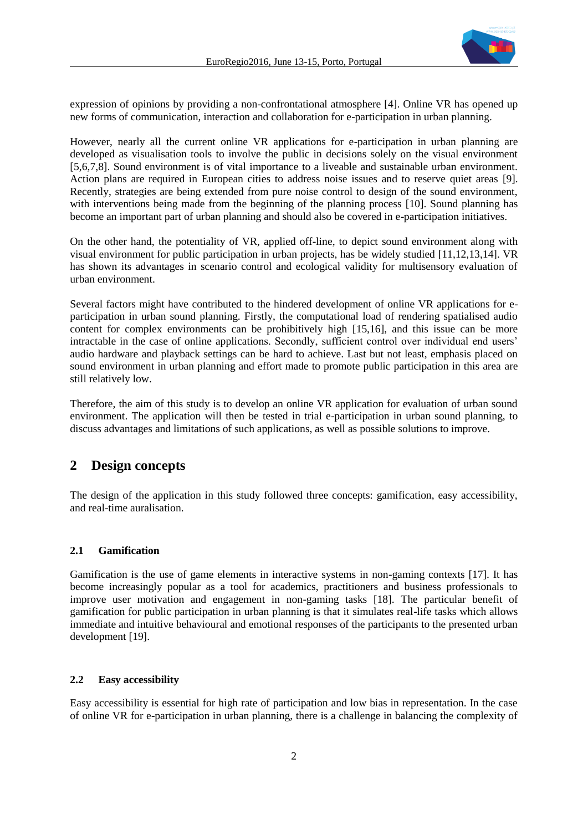

expression of opinions by providing a non-confrontational atmosphere [4]. Online VR has opened up new forms of communication, interaction and collaboration for e-participation in urban planning.

However, nearly all the current online VR applications for e-participation in urban planning are developed as visualisation tools to involve the public in decisions solely on the visual environment [5,6,7,8]. Sound environment is of vital importance to a liveable and sustainable urban environment. Action plans are required in European cities to address noise issues and to reserve quiet areas [9]. Recently, strategies are being extended from pure noise control to design of the sound environment, with interventions being made from the beginning of the planning process [10]. Sound planning has become an important part of urban planning and should also be covered in e-participation initiatives.

On the other hand, the potentiality of VR, applied off-line, to depict sound environment along with visual environment for public participation in urban projects, has be widely studied [11,12,13,14]. VR has shown its advantages in scenario control and ecological validity for multisensory evaluation of urban environment.

Several factors might have contributed to the hindered development of online VR applications for eparticipation in urban sound planning. Firstly, the computational load of rendering spatialised audio content for complex environments can be prohibitively high [15,16], and this issue can be more intractable in the case of online applications. Secondly, sufficient control over individual end users' audio hardware and playback settings can be hard to achieve. Last but not least, emphasis placed on sound environment in urban planning and effort made to promote public participation in this area are still relatively low.

Therefore, the aim of this study is to develop an online VR application for evaluation of urban sound environment. The application will then be tested in trial e-participation in urban sound planning, to discuss advantages and limitations of such applications, as well as possible solutions to improve.

### **2 Design concepts**

The design of the application in this study followed three concepts: gamification, easy accessibility, and real-time auralisation.

#### **2.1 Gamification**

Gamification is the use of game elements in interactive systems in non-gaming contexts [17]. It has become increasingly popular as a tool for academics, practitioners and business professionals to improve user motivation and engagement in non-gaming tasks [18]. The particular benefit of gamification for public participation in urban planning is that it simulates real-life tasks which allows immediate and intuitive behavioural and emotional responses of the participants to the presented urban development [19].

#### **2.2 Easy accessibility**

Easy accessibility is essential for high rate of participation and low bias in representation. In the case of online VR for e-participation in urban planning, there is a challenge in balancing the complexity of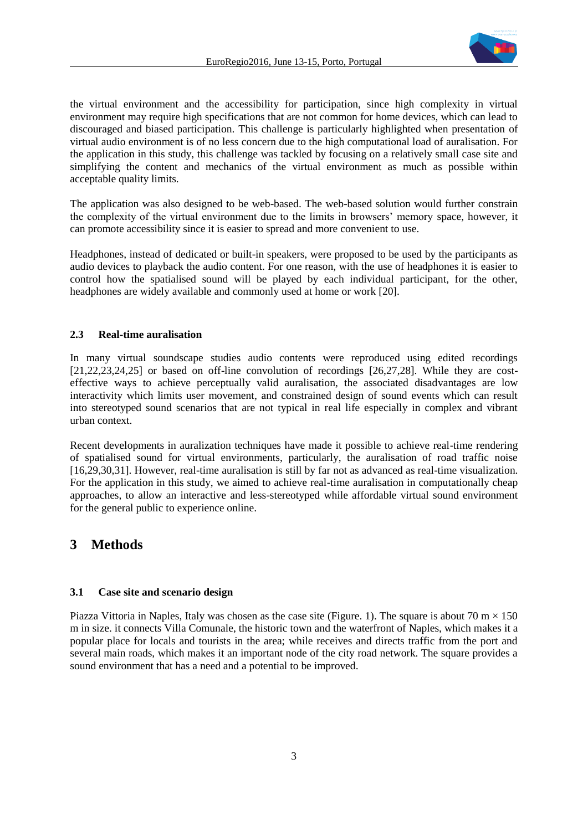

the virtual environment and the accessibility for participation, since high complexity in virtual environment may require high specifications that are not common for home devices, which can lead to discouraged and biased participation. This challenge is particularly highlighted when presentation of virtual audio environment is of no less concern due to the high computational load of auralisation. For the application in this study, this challenge was tackled by focusing on a relatively small case site and simplifying the content and mechanics of the virtual environment as much as possible within acceptable quality limits.

The application was also designed to be web-based. The web-based solution would further constrain the complexity of the virtual environment due to the limits in browsers' memory space, however, it can promote accessibility since it is easier to spread and more convenient to use.

Headphones, instead of dedicated or built-in speakers, were proposed to be used by the participants as audio devices to playback the audio content. For one reason, with the use of headphones it is easier to control how the spatialised sound will be played by each individual participant, for the other, headphones are widely available and commonly used at home or work [20].

#### **2.3 Real-time auralisation**

In many virtual soundscape studies audio contents were reproduced using edited recordings [21,22,23,24,25] or based on off-line convolution of recordings [26,27,28]. While they are costeffective ways to achieve perceptually valid auralisation, the associated disadvantages are low interactivity which limits user movement, and constrained design of sound events which can result into stereotyped sound scenarios that are not typical in real life especially in complex and vibrant urban context.

Recent developments in auralization techniques have made it possible to achieve real-time rendering of spatialised sound for virtual environments, particularly, the auralisation of road traffic noise [16,29,30,31]. However, real-time auralisation is still by far not as advanced as real-time visualization. For the application in this study, we aimed to achieve real-time auralisation in computationally cheap approaches, to allow an interactive and less-stereotyped while affordable virtual sound environment for the general public to experience online.

## **3 Methods**

#### **3.1 Case site and scenario design**

Piazza Vittoria in Naples, Italy was chosen as the case site (Figure. 1). The square is about 70 m  $\times$  150 m in size. it connects Villa Comunale, the historic town and the waterfront of Naples, which makes it a popular place for locals and tourists in the area; while receives and directs traffic from the port and several main roads, which makes it an important node of the city road network. The square provides a sound environment that has a need and a potential to be improved.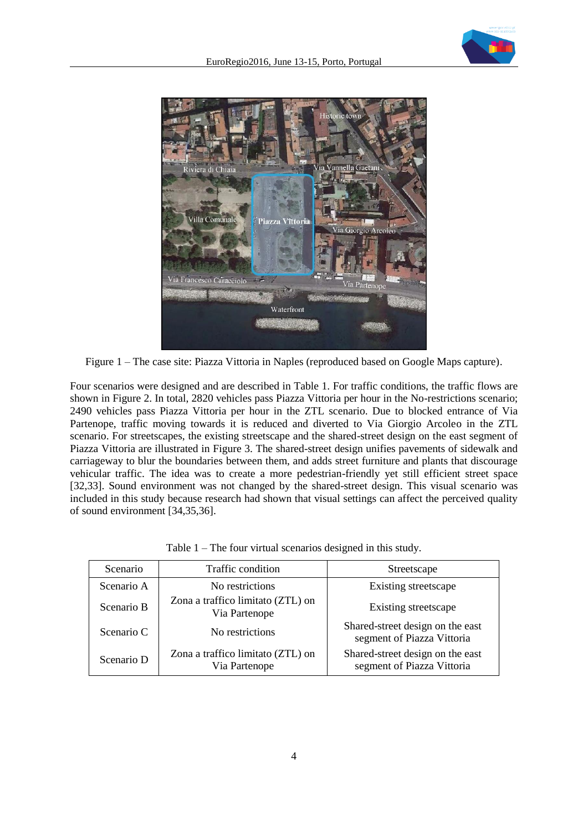

Figure 1 – The case site: Piazza Vittoria in Naples (reproduced based on Google Maps capture).

Four scenarios were designed and are described in Table 1. For traffic conditions, the traffic flows are shown in Figure 2. In total, 2820 vehicles pass Piazza Vittoria per hour in the No-restrictions scenario; 2490 vehicles pass Piazza Vittoria per hour in the ZTL scenario. Due to blocked entrance of Via Partenope, traffic moving towards it is reduced and diverted to Via Giorgio Arcoleo in the ZTL scenario. For streetscapes, the existing streetscape and the shared-street design on the east segment of Piazza Vittoria are illustrated in Figure 3. The shared-street design unifies pavements of sidewalk and carriageway to blur the boundaries between them, and adds street furniture and plants that discourage vehicular traffic. The idea was to create a more pedestrian-friendly yet still efficient street space [32,33]. Sound environment was not changed by the shared-street design. This visual scenario was included in this study because research had shown that visual settings can affect the perceived quality of sound environment [34,35,36].

| Scenario   | Traffic condition                                  | Streetscape                                                    |
|------------|----------------------------------------------------|----------------------------------------------------------------|
| Scenario A | No restrictions                                    | Existing streetscape                                           |
| Scenario B | Zona a traffico limitato (ZTL) on<br>Via Partenope | Existing streetscape                                           |
| Scenario C | No restrictions                                    | Shared-street design on the east<br>segment of Piazza Vittoria |
| Scenario D | Zona a traffico limitato (ZTL) on<br>Via Partenope | Shared-street design on the east<br>segment of Piazza Vittoria |

Table 1 – The four virtual scenarios designed in this study.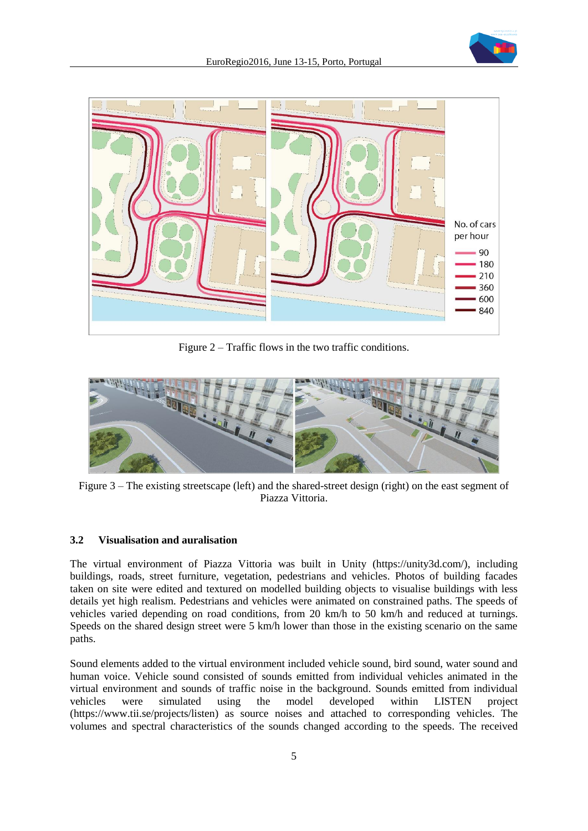



Figure 2 – Traffic flows in the two traffic conditions.



Figure 3 – The existing streetscape (left) and the shared-street design (right) on the east segment of Piazza Vittoria.

#### **3.2 Visualisation and auralisation**

The virtual environment of Piazza Vittoria was built in Unity (https://unity3d.com/), including buildings, roads, street furniture, vegetation, pedestrians and vehicles. Photos of building facades taken on site were edited and textured on modelled building objects to visualise buildings with less details yet high realism. Pedestrians and vehicles were animated on constrained paths. The speeds of vehicles varied depending on road conditions, from 20 km/h to 50 km/h and reduced at turnings. Speeds on the shared design street were 5 km/h lower than those in the existing scenario on the same paths.

Sound elements added to the virtual environment included vehicle sound, bird sound, water sound and human voice. Vehicle sound consisted of sounds emitted from individual vehicles animated in the virtual environment and sounds of traffic noise in the background. Sounds emitted from individual vehicles were simulated using the model developed within LISTEN project (https://www.tii.se/projects/listen) as source noises and attached to corresponding vehicles. The volumes and spectral characteristics of the sounds changed according to the speeds. The received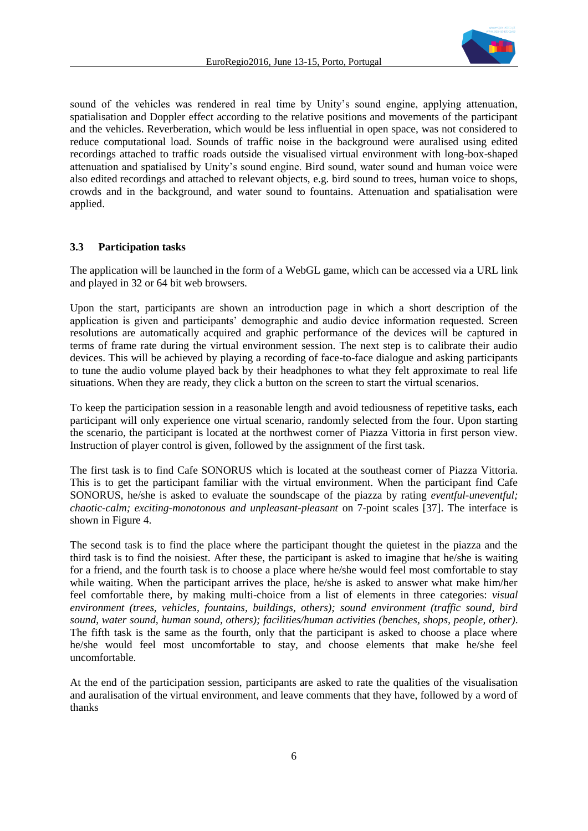

sound of the vehicles was rendered in real time by Unity's sound engine, applying attenuation, spatialisation and Doppler effect according to the relative positions and movements of the participant and the vehicles. Reverberation, which would be less influential in open space, was not considered to reduce computational load. Sounds of traffic noise in the background were auralised using edited recordings attached to traffic roads outside the visualised virtual environment with long-box-shaped attenuation and spatialised by Unity's sound engine. Bird sound, water sound and human voice were also edited recordings and attached to relevant objects, e.g. bird sound to trees, human voice to shops, crowds and in the background, and water sound to fountains. Attenuation and spatialisation were applied.

#### **3.3 Participation tasks**

The application will be launched in the form of a WebGL game, which can be accessed via a URL link and played in 32 or 64 bit web browsers.

Upon the start, participants are shown an introduction page in which a short description of the application is given and participants' demographic and audio device information requested. Screen resolutions are automatically acquired and graphic performance of the devices will be captured in terms of frame rate during the virtual environment session. The next step is to calibrate their audio devices. This will be achieved by playing a recording of face-to-face dialogue and asking participants to tune the audio volume played back by their headphones to what they felt approximate to real life situations. When they are ready, they click a button on the screen to start the virtual scenarios.

To keep the participation session in a reasonable length and avoid tediousness of repetitive tasks, each participant will only experience one virtual scenario, randomly selected from the four. Upon starting the scenario, the participant is located at the northwest corner of Piazza Vittoria in first person view. Instruction of player control is given, followed by the assignment of the first task.

The first task is to find Cafe SONORUS which is located at the southeast corner of Piazza Vittoria. This is to get the participant familiar with the virtual environment. When the participant find Cafe SONORUS, he/she is asked to evaluate the soundscape of the piazza by rating *eventful-uneventful; chaotic-calm; exciting-monotonous and unpleasant-pleasant* on 7-point scales [37]. The interface is shown in Figure 4.

The second task is to find the place where the participant thought the quietest in the piazza and the third task is to find the noisiest. After these, the participant is asked to imagine that he/she is waiting for a friend, and the fourth task is to choose a place where he/she would feel most comfortable to stay while waiting. When the participant arrives the place, he/she is asked to answer what make him/her feel comfortable there, by making multi-choice from a list of elements in three categories: *visual environment (trees, vehicles, fountains, buildings, others); sound environment (traffic sound, bird sound, water sound, human sound, others); facilities/human activities (benches, shops, people, other)*. The fifth task is the same as the fourth, only that the participant is asked to choose a place where he/she would feel most uncomfortable to stay, and choose elements that make he/she feel uncomfortable.

At the end of the participation session, participants are asked to rate the qualities of the visualisation and auralisation of the virtual environment, and leave comments that they have, followed by a word of thanks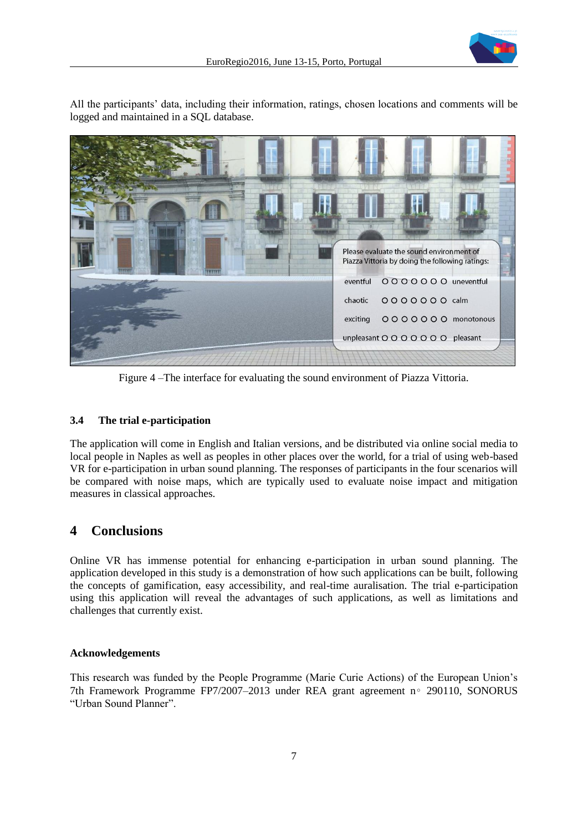

All the participants' data, including their information, ratings, chosen locations and comments will be logged and maintained in a SQL database.



Figure 4 –The interface for evaluating the sound environment of Piazza Vittoria.

### **3.4 The trial e-participation**

The application will come in English and Italian versions, and be distributed via online social media to local people in Naples as well as peoples in other places over the world, for a trial of using web-based VR for e-participation in urban sound planning. The responses of participants in the four scenarios will be compared with noise maps, which are typically used to evaluate noise impact and mitigation measures in classical approaches.

## **4 Conclusions**

Online VR has immense potential for enhancing e-participation in urban sound planning. The application developed in this study is a demonstration of how such applications can be built, following the concepts of gamification, easy accessibility, and real-time auralisation. The trial e-participation using this application will reveal the advantages of such applications, as well as limitations and challenges that currently exist.

#### **Acknowledgements**

This research was funded by the People Programme (Marie Curie Actions) of the European Union's 7th Framework Programme FP7/2007–2013 under REA grant agreement n∘ 290110, SONORUS "Urban Sound Planner".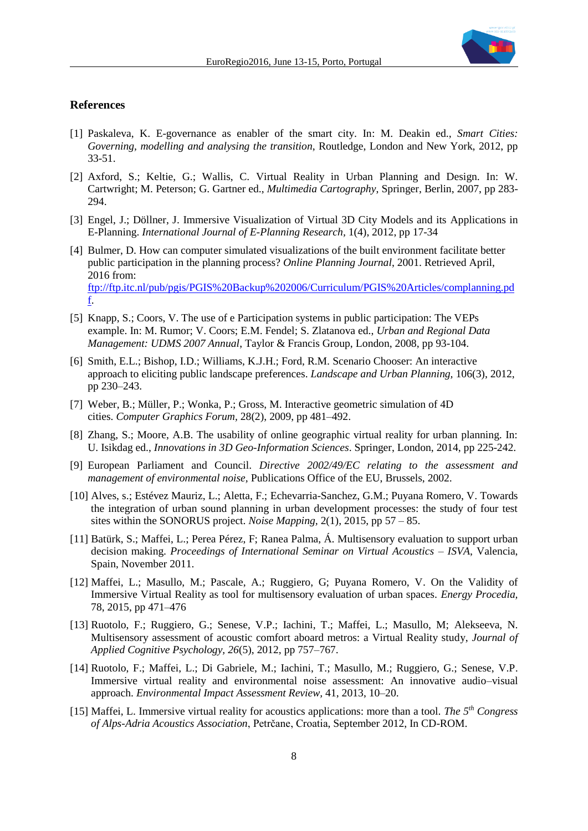

#### **References**

- [1] Paskaleva, K. E-governance as enabler of the smart city. In: M. Deakin ed., *Smart Cities: Governing, modelling and analysing the transition*, Routledge, London and New York, 2012, pp 33-51.
- [2] Axford, S.; Keltie, G.; Wallis, C. Virtual Reality in Urban Planning and Design. In: W. Cartwright; M. Peterson; G. Gartner ed., *Multimedia Cartography*, Springer, Berlin, 2007, pp 283- 294.
- [3] Engel, J.; Döllner, J. Immersive Visualization of Virtual 3D City Models and its Applications in E-Planning. *International Journal of E-Planning Research,* 1(4), 2012, pp 17-34
- [4] Bulmer, D. How can computer simulated visualizations of the built environment facilitate better public participation in the planning process? *Online Planning Journal*, 2001. Retrieved April, 2016 from: [ftp://ftp.itc.nl/pub/pgis/PGIS%20Backup%202006/Curriculum/PGIS%20Articles/complanning.pd](ftp://ftp.itc.nl/pub/pgis/PGIS Backup 2006/Curriculum/PGIS Articles/complanning.pdf) [f.](ftp://ftp.itc.nl/pub/pgis/PGIS Backup 2006/Curriculum/PGIS Articles/complanning.pdf)
- [5] Knapp, S.; Coors, V. The use of e Participation systems in public participation: The VEPs example. In: M. Rumor; V. Coors; E.M. Fendel; S. Zlatanova ed., *Urban and Regional Data Management: UDMS 2007 Annual*, Taylor & Francis Group, London, 2008, pp 93-104.
- [6] Smith, E.L.; Bishop, I.D.; Williams, K.J.H.; Ford, R.M. Scenario Chooser: An interactive approach to eliciting public landscape preferences. *Landscape and Urban Planning,* 106(3), 2012, pp 230–243.
- [7] Weber, B.; Müller, P.; Wonka, P.; Gross, M. Interactive geometric simulation of 4D cities. *Computer Graphics Forum,* 28(2), 2009, pp 481–492.
- [8] Zhang, S.; Moore, A.B. The usability of online geographic virtual reality for urban planning. In: U. Isikdag ed., *Innovations in 3D Geo-Information Sciences*. Springer, London, 2014, pp 225-242.
- [9] European Parliament and Council. *Directive 2002/49/EC relating to the assessment and management of environmental noise,* Publications Office of the EU, Brussels, 2002.
- [10] Alves, s.; Estévez Mauriz, L.; Aletta, F.; Echevarria-Sanchez, G.M.; Puyana Romero, V. Towards the integration of urban sound planning in urban development processes: the study of four test sites within the SONORUS project. *Noise Mapping,* 2(1), 2015, pp 57 – 85.
- [11] Batürk, S.; Maffei, L.; Perea Pérez, F; Ranea Palma, Á. Multisensory evaluation to support urban decision making. *Proceedings of International Seminar on Virtual Acoustics – ISVA*, Valencia, Spain, November 2011.
- [12] Maffei, L.; Masullo, M.; Pascale, A.; Ruggiero, G; Puyana Romero, V. On the Validity of Immersive Virtual Reality as tool for multisensory evaluation of urban spaces. *Energy Procedia,*  78, 2015, pp 471–476
- [13] Ruotolo, F.; Ruggiero, G.; Senese, V.P.; Iachini, T.; Maffei, L.; Masullo, M; Alekseeva, N. Multisensory assessment of acoustic comfort aboard metros: a Virtual Reality study, *Journal of Applied Cognitive Psychology, 26*(5), 2012, pp 757–767.
- [14] Ruotolo, F.; Maffei, L.; Di Gabriele, M.; Iachini, T.; Masullo, M.; Ruggiero, G.; Senese, V.P. Immersive virtual reality and environmental noise assessment: An innovative audio–visual approach. *Environmental Impact Assessment Review,* 41, 2013, 10–20.
- [15] Maffei, L. Immersive virtual reality for acoustics applications: more than a tool. *The 5th Congress of Alps-Adria Acoustics Association*, Petrčane, Croatia, September 2012, In CD-ROM.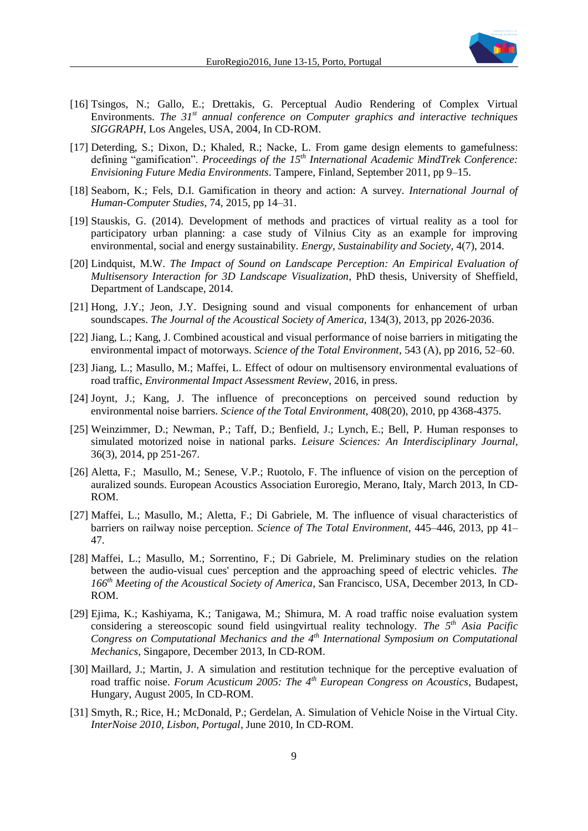

- [16] Tsingos, N.; Gallo, E.; Drettakis, G. Perceptual Audio Rendering of Complex Virtual Environments. *The 31st annual conference on Computer graphics and interactive techniques SIGGRAPH*, Los Angeles, USA, 2004, In CD-ROM.
- [17] Deterding, S.; Dixon, D.; Khaled, R.; Nacke, L. From game design elements to gamefulness: defining "gamification". *Proceedings of the 15th International Academic MindTrek Conference: Envisioning Future Media Environments*. Tampere, Finland, September 2011, pp 9–15.
- [18] Seaborn, K.; Fels, D.I. Gamification in theory and action: A survey. *International Journal of Human-Computer Studies*, 74, 2015, pp 14–31.
- [19] Stauskis, G. (2014). Development of methods and practices of virtual reality as a tool for participatory urban planning: a case study of Vilnius City as an example for improving environmental, social and energy sustainability. *Energy, Sustainability and Society,* 4(7), 2014.
- [20] Lindquist, M.W. *The Impact of Sound on Landscape Perception: An Empirical Evaluation of Multisensory Interaction for 3D Landscape Visualization*, PhD thesis, University of Sheffield, Department of Landscape, 2014.
- [21] Hong, J.Y.; Jeon, J.Y. Designing sound and visual components for enhancement of urban soundscapes. *The Journal of the Acoustical Society of America*, 134(3), 2013, pp 2026-2036.
- [22] Jiang, L.; Kang, J. Combined acoustical and visual performance of noise barriers in mitigating the environmental impact of motorways. *Science of the Total Environment,* 543 (A), pp 2016, 52–60.
- [23] Jiang, L.; Masullo, M.; Maffei, L. Effect of odour on multisensory environmental evaluations of road traffic, *Environmental Impact Assessment Review*, 2016, in press.
- [24] Joynt, J.; Kang, J. The influence of preconceptions on perceived sound reduction by environmental noise barriers. *Science of the Total Environment,* 408(20), 2010, pp 4368-4375.
- [25] Weinzimmer, D.; Newman, P.; Taff, D.; Benfield, J.; Lynch, E.; Bell, P. Human responses to simulated motorized noise in national parks. *Leisure Sciences: An Interdisciplinary Journal,*  36(3), 2014, pp 251-267.
- [26] Aletta, F.; Masullo, M.; Senese, V.P.; Ruotolo, F. The influence of vision on the perception of auralized sounds. European Acoustics Association Euroregio, Merano, Italy, March 2013, In CD-ROM.
- [27] Maffei, L.; Masullo, M.; Aletta, F.; Di Gabriele, M. The influence of visual characteristics of barriers on railway noise perception. *Science of The Total Environment,* 445–446, 2013, pp 41– 47.
- [28] Maffei, L.; Masullo, M.; Sorrentino, F.; Di Gabriele, M. Preliminary studies on the relation between the audio-visual cues' perception and the approaching speed of electric vehicles. *The 166th Meeting of the Acoustical Society of America*, San Francisco, USA, December 2013, In CD-ROM.
- [29] Ejima, K.; Kashiyama, K.; Tanigawa, M.; Shimura, M. A road traffic noise evaluation system considering a stereoscopic sound field usingvirtual reality technology. *The 5th Asia Pacific Congress on Computational Mechanics and the 4th International Symposium on Computational Mechanics*, Singapore, December 2013, In CD-ROM.
- [30] Maillard, J.; Martin, J. A simulation and restitution technique for the perceptive evaluation of road traffic noise. *Forum Acusticum 2005: The 4th European Congress on Acoustics*, Budapest, Hungary, August 2005, In CD-ROM.
- [31] Smyth, R.; Rice, H.; McDonald, P.; Gerdelan, A. Simulation of Vehicle Noise in the Virtual City. *InterNoise 2010, Lisbon, Portugal*, June 2010*,* In CD-ROM.